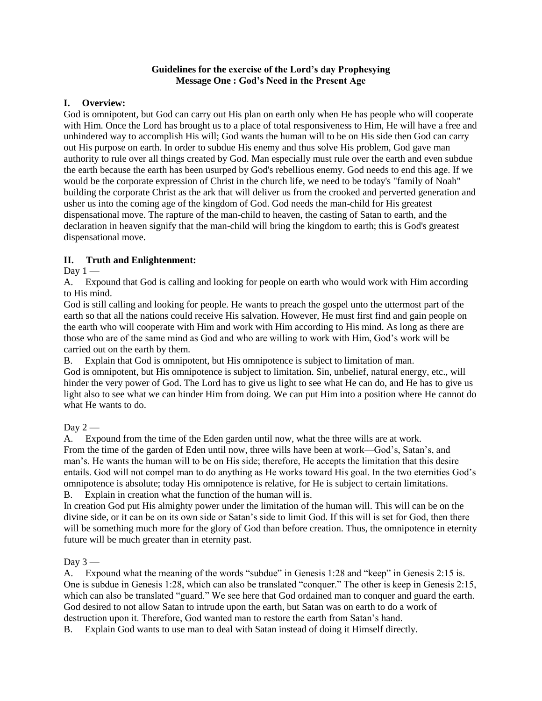#### **Guidelines for the exercise of the Lord's day Prophesying Message One : God's Need in the Present Age**

#### **I. Overview:**

God is omnipotent, but God can carry out His plan on earth only when He has people who will cooperate with Him. Once the Lord has brought us to a place of total responsiveness to Him, He will have a free and unhindered way to accomplish His will; God wants the human will to be on His side then God can carry out His purpose on earth. In order to subdue His enemy and thus solve His problem, God gave man authority to rule over all things created by God. Man especially must rule over the earth and even subdue the earth because the earth has been usurped by God's rebellious enemy. God needs to end this age. If we would be the corporate expression of Christ in the church life, we need to be today's "family of Noah" building the corporate Christ as the ark that will deliver us from the crooked and perverted generation and usher us into the coming age of the kingdom of God. God needs the man-child for His greatest dispensational move. The rapture of the man-child to heaven, the casting of Satan to earth, and the declaration in heaven signify that the man-child will bring the kingdom to earth; this is God's greatest dispensational move.

#### **II. Truth and Enlightenment:**

Day  $1 -$ 

A. Expound that God is calling and looking for people on earth who would work with Him according to His mind.

God is still calling and looking for people. He wants to preach the gospel unto the uttermost part of the earth so that all the nations could receive His salvation. However, He must first find and gain people on the earth who will cooperate with Him and work with Him according to His mind. As long as there are those who are of the same mind as God and who are willing to work with Him, God's work will be carried out on the earth by them.

B. Explain that God is omnipotent, but His omnipotence is subject to limitation of man.

God is omnipotent, but His omnipotence is subject to limitation. Sin, unbelief, natural energy, etc., will hinder the very power of God. The Lord has to give us light to see what He can do, and He has to give us light also to see what we can hinder Him from doing. We can put Him into a position where He cannot do what He wants to do.

## Day  $2-$

A. Expound from the time of the Eden garden until now, what the three wills are at work. From the time of the garden of Eden until now, three wills have been at work—God's, Satan's, and man's. He wants the human will to be on His side; therefore, He accepts the limitation that this desire entails. God will not compel man to do anything as He works toward His goal. In the two eternities God's omnipotence is absolute; today His omnipotence is relative, for He is subject to certain limitations. B. Explain in creation what the function of the human will is.

In creation God put His almighty power under the limitation of the human will. This will can be on the divine side, or it can be on its own side or Satan's side to limit God. If this will is set for God, then there will be something much more for the glory of God than before creation. Thus, the omnipotence in eternity future will be much greater than in eternity past.

Day  $3-$ 

A. Expound what the meaning of the words "subdue" in Genesis 1:28 and "keep" in Genesis 2:15 is. One is subdue in Genesis 1:28, which can also be translated "conquer." The other is keep in Genesis 2:15, which can also be translated "guard." We see here that God ordained man to conquer and guard the earth. God desired to not allow Satan to intrude upon the earth, but Satan was on earth to do a work of destruction upon it. Therefore, God wanted man to restore the earth from Satan's hand.

B. Explain God wants to use man to deal with Satan instead of doing it Himself directly.